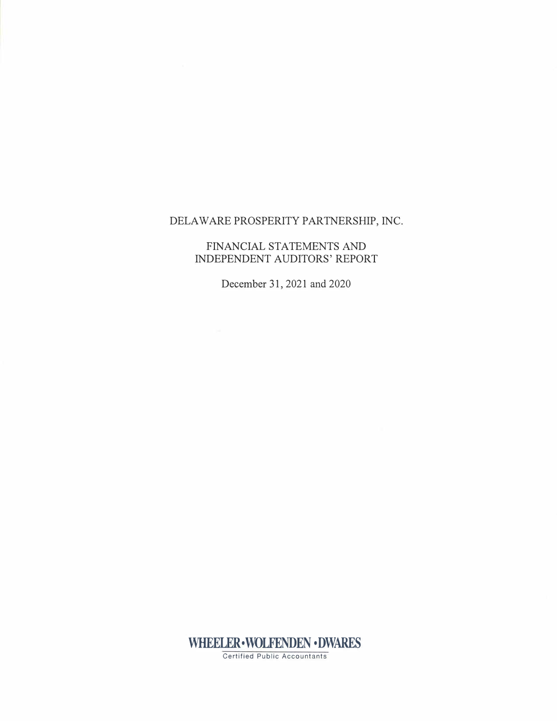### FINANCIAL STATEMENTS AND INDEPENDENT AUDITORS' REPORT

December 31, 2021 and 2020



Certified Public Accountants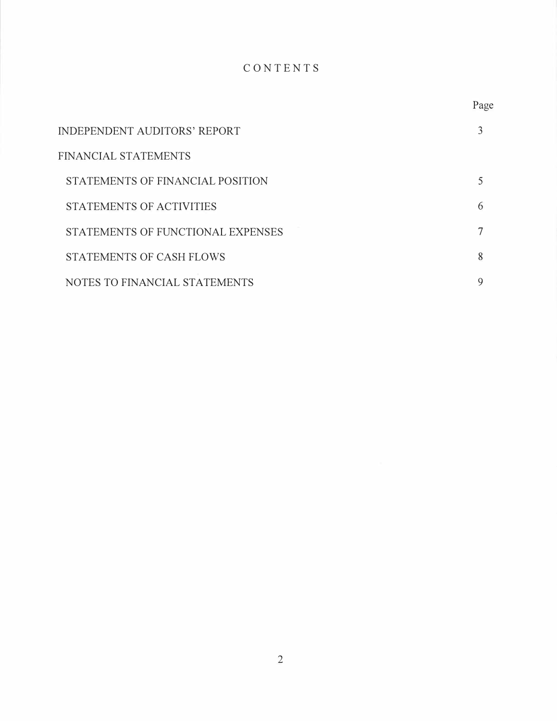# CONTENTS

|                                     | Page |
|-------------------------------------|------|
| <b>INDEPENDENT AUDITORS' REPORT</b> | 3    |
| FINANCIAL STATEMENTS                |      |
| STATEMENTS OF FINANCIAL POSITION    | 5    |
| STATEMENTS OF ACTIVITIES            | 6    |
| STATEMENTS OF FUNCTIONAL EXPENSES   | 7    |
| STATEMENTS OF CASH FLOWS            | 8    |
| NOTES TO FINANCIAL STATEMENTS       | 9    |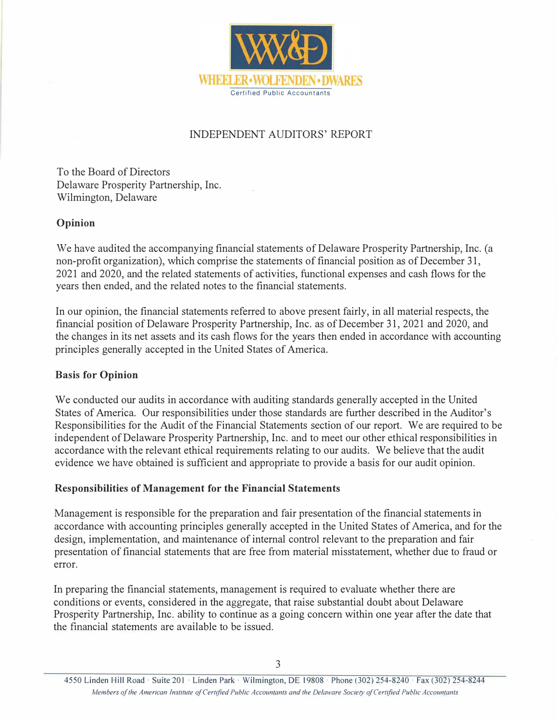

# INDEPENDENT AUDITORS' REPORT

To the Board of Directors Delaware Prosperity Partnership, Inc. Wilmington, Delaware

### **Opinion**

We have audited the accompanying financial statements of Delaware Prosperity Partnership, Inc. (a non-profit organization), which comprise the statements of financial position as of December 31, 2021 and 2020, and the related statements of activities, functional expenses and cash flows for the years then ended, and the related notes to the financial statements.

In our opinion, the financial statements referred to above present fairly, in all material respects, the financial position of Delaware Prosperity Partnership, Inc. as of December 31, 2021 and 2020, and the changes in its net assets and its cash flows for the years then ended in accordance with accounting principles generally accepted in the United States of America.

### **Basis for Opinion**

We conducted our audits in accordance with auditing standards generally accepted in the United States of America. Our responsibilities under those standards are further described in the Auditor's Responsibilities for the Audit of the Financial Statements section of our report. We are required to be independent of Delaware Prosperity Partnership, Inc. and to meet our other ethical responsibilities in accordance with the relevant ethical requirements relating to our audits. We believe that the audit evidence we have obtained is sufficient and appropriate to provide a basis for our audit opinion.

### **Responsibilities of Management for the Financial Statements**

Management is responsible for the preparation and fair presentation of the financial statements in accordance with accounting principles generally accepted in the United States of America, and for the design, implementation, and maintenance of internal control relevant to the preparation and fair presentation of financial statements that are free from material misstatement, whether due to fraud or error.

In preparing the financial statements, management is required to evaluate whether there are conditions or events, considered in the aggregate, that raise substantial doubt about Delaware Prosperity Partnership, Inc. ability to continue as a going concern within one year after the date that the financial statements are available to be issued.

<sup>4550</sup> Linden Hill Road · Suite 20 I · Linden Park · Wilmington, DE 19808 · Phone (302) 254-8240 · Fax (302) 254-8244 *Members of the American Institute of Certified Public Accountants and the Delaware Society of Certified Public Accountants*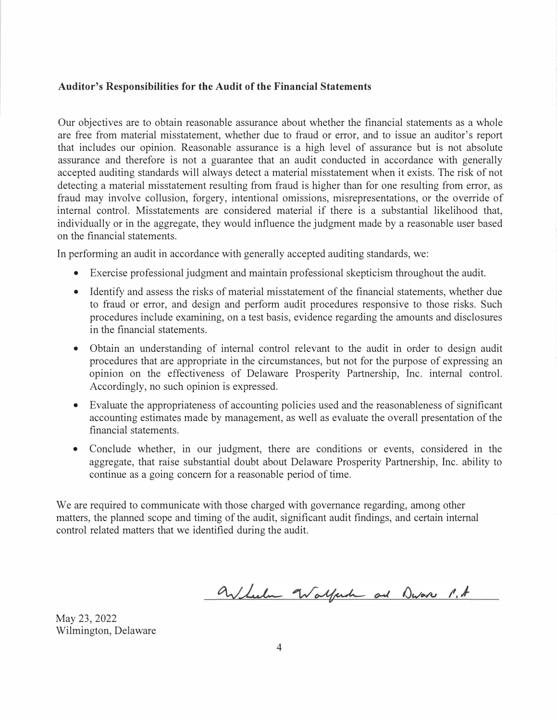### **Auditor's Responsibilities for the Audit of the Financial Statements**

Our objectives are to obtain reasonable assurance about whether the financial statements as a whole are free from material misstatement, whether due to fraud or error, and to issue an auditor's report that includes our opinion. Reasonable assurance is a high level of assurance but is not absolute assurance and therefore is not a guarantee that an audit conducted in accordance with generally accepted auditing standards will always detect a material misstatement when it exists. The risk of not detecting a material misstatement resulting from fraud is higher than for one resulting from error, as fraud may involve collusion, forgery, intentional omissions, misrepresentations, or the override of internal control. Misstatements are considered material if there is a substantial likelihood that, individually or in the aggregate, they would influence the judgment made by a reasonable user based on the financial statements.

In performing an audit in accordance with generally accepted auditing standards, we:

- Exercise professional judgment and maintain professional skepticism throughout the audit.
- Identify and assess the risks of material misstatement of the financial statements, whether due to fraud or error, and design and perform audit procedures responsive to those risks. Such procedures include examining, on a test basis, evidence regarding the amounts and disclosures in the financial statements.
- Obtain an understanding of internal control relevant to the audit in order to design audit procedures that are appropriate in the circumstances, but not for the purpose of expressing an opinion on the effectiveness of Delaware Prosperity Partnership, Inc. internal control. Accordingly, no such opinion is expressed.
- Evaluate the appropriateness of accounting policies used and the reasonableness of significant accounting estimates made by management, as well as evaluate the overall presentation of the financial statements.
- Conclude whether, in our judgment, there are conditions or events, considered in the aggregate, that raise substantial doubt about Delaware Prosperity Partnership, Inc. ability to continue as a going concern for a reasonable period of time.

We are required to communicate with those charged with governance regarding, among other matters, the planned scope and timing of the audit, significant audit findings, and certain internal control related matters that we identified during the audit.

Whele Walkert and Dware P.A

May 23, 2022 Wilmington, Delaware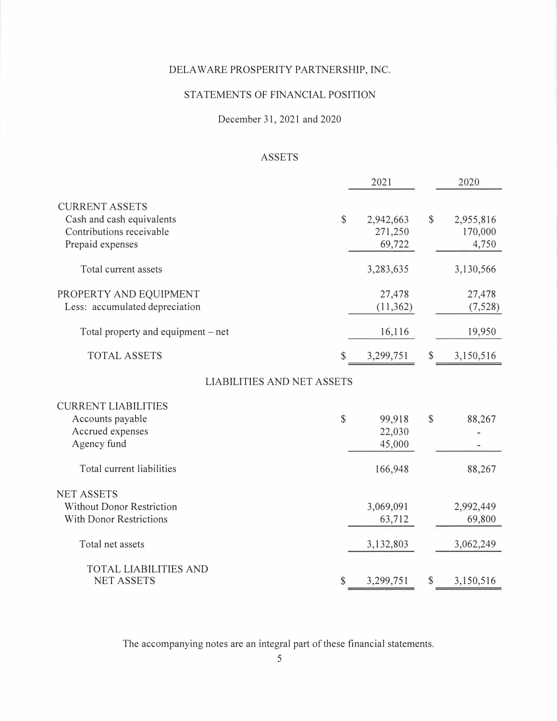# STATEMENTS OF FINANCIAL POSITION

# December 31, 2021 and 2020

### ASSETS

|                                                                                                    |               | 2021                           |              | 2020                          |
|----------------------------------------------------------------------------------------------------|---------------|--------------------------------|--------------|-------------------------------|
| <b>CURRENT ASSETS</b><br>Cash and cash equivalents<br>Contributions receivable<br>Prepaid expenses | $\mathbb{S}$  | 2,942,663<br>271,250<br>69,722 | $\mathbb{S}$ | 2,955,816<br>170,000<br>4,750 |
| Total current assets                                                                               |               | 3,283,635                      |              | 3,130,566                     |
| PROPERTY AND EQUIPMENT<br>Less: accumulated depreciation                                           |               | 27,478<br>(11, 362)            |              | 27,478<br>(7,528)             |
| Total property and equipment – net                                                                 |               | 16,116                         |              | 19,950                        |
| <b>TOTAL ASSETS</b>                                                                                | \$            | 3,299,751                      | \$           | 3,150,516                     |
| <b>LIABILITIES AND NET ASSETS</b>                                                                  |               |                                |              |                               |
| <b>CURRENT LIABILITIES</b><br>Accounts payable<br>Accrued expenses<br>Agency fund                  | $\mathcal{S}$ | 99,918<br>22,030<br>45,000     | $\mathbb{S}$ | 88,267                        |
| Total current liabilities                                                                          |               | 166,948                        |              | 88,267                        |
| <b>NET ASSETS</b><br><b>Without Donor Restriction</b><br><b>With Donor Restrictions</b>            |               | 3,069,091<br>63,712            |              | 2,992,449<br>69,800           |
| Total net assets                                                                                   |               | 3,132,803                      |              | 3,062,249                     |
| <b>TOTAL LIABILITIES AND</b><br><b>NET ASSETS</b>                                                  | \$            | 3,299,751                      | $\mathbb{S}$ | 3,150,516                     |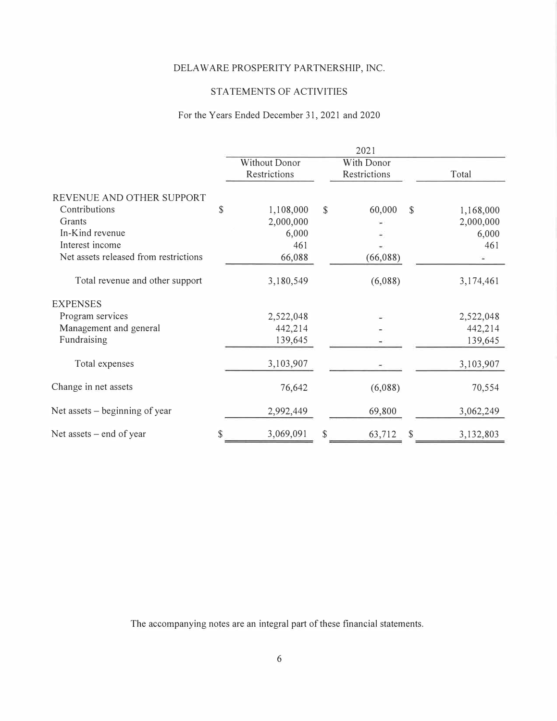# STATEMENTS OF ACTIVITIES

### For the Years Ended December 31, 2021 and 2020

|                                       |                      |               | 2021              |              |           |
|---------------------------------------|----------------------|---------------|-------------------|--------------|-----------|
|                                       | <b>Without Donor</b> |               | <b>With Donor</b> |              |           |
|                                       | Restrictions         |               | Restrictions      |              | Total     |
| REVENUE AND OTHER SUPPORT             |                      |               |                   |              |           |
| Contributions                         | \$<br>1,108,000      | $\mathcal{S}$ | 60,000            | $\mathbb{S}$ | 1,168,000 |
| Grants                                | 2,000,000            |               |                   |              | 2,000,000 |
| In-Kind revenue                       | 6,000                |               |                   |              | 6,000     |
| Interest income                       | 461                  |               |                   |              | 461       |
| Net assets released from restrictions | 66,088               |               | (66, 088)         |              |           |
| Total revenue and other support       | 3,180,549            |               | (6,088)           |              | 3,174,461 |
| <b>EXPENSES</b>                       |                      |               |                   |              |           |
| Program services                      | 2,522,048            |               |                   |              | 2,522,048 |
| Management and general                | 442,214              |               |                   |              | 442,214   |
| Fundraising                           | 139,645              |               |                   |              | 139,645   |
| Total expenses                        | 3,103,907            |               |                   |              | 3,103,907 |
| Change in net assets                  | 76,642               |               | (6,088)           |              | 70,554    |
| Net assets – beginning of year        | 2,992,449            |               | 69,800            |              | 3,062,249 |
| Net assets – end of year              | \$<br>3,069,091      | S             | 63,712            | S            | 3,132,803 |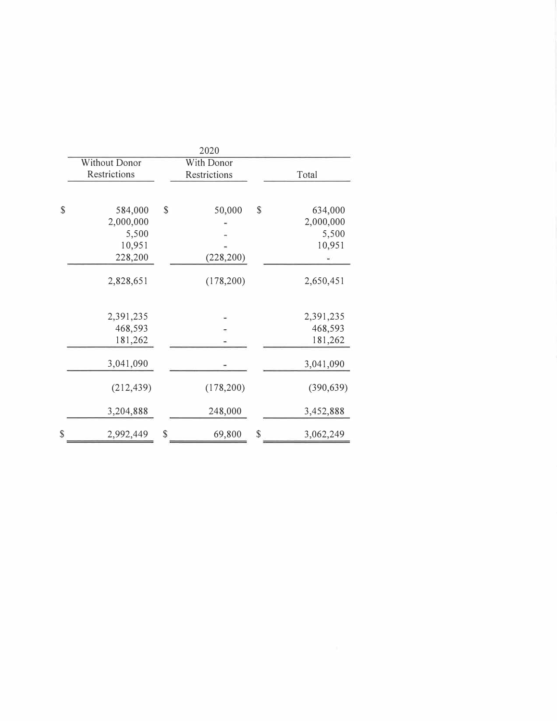|               |                      | 2020         |                 |
|---------------|----------------------|--------------|-----------------|
|               | <b>Without Donor</b> | With Donor   |                 |
|               | Restrictions         | Restrictions | Total           |
|               |                      |              |                 |
| $\mathcal{S}$ | 584,000              | \$<br>50,000 | \$<br>634,000   |
|               | 2,000,000            |              | 2,000,000       |
|               | 5,500                |              | 5,500           |
|               | 10,951               |              | 10,951          |
|               | 228,200              | (228, 200)   |                 |
|               | 2,828,651            | (178,200)    | 2,650,451       |
|               | 2,391,235            |              | 2,391,235       |
|               | 468,593              |              | 468,593         |
|               | 181,262              |              | 181,262         |
|               | 3,041,090            |              | 3,041,090       |
|               | (212, 439)           | (178,200)    | (390, 639)      |
|               | 3,204,888            | 248,000      | 3,452,888       |
| \$            | 2,992,449            | \$<br>69,800 | \$<br>3,062,249 |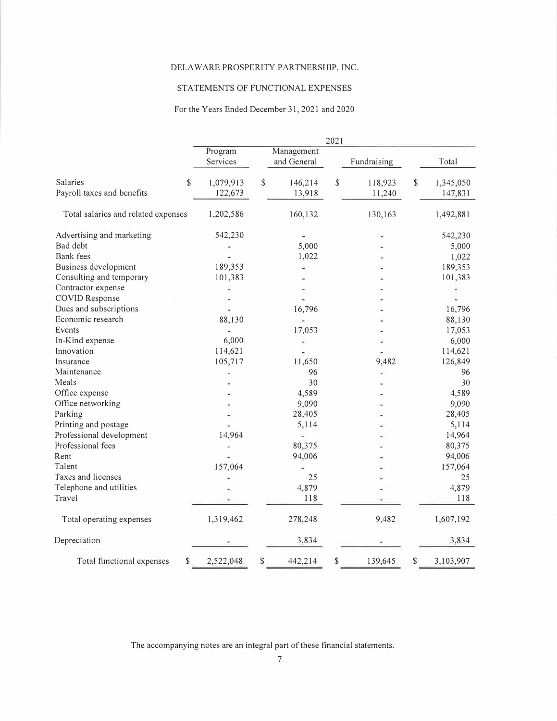### STATEMENTS OF FUNCTIONAL EXPENSES

#### For the Years Ended December 31, 2021 and 2020

|                                     | 2021      |    |             |    |             |                 |
|-------------------------------------|-----------|----|-------------|----|-------------|-----------------|
|                                     | Program   |    | Management  |    |             |                 |
|                                     | Services  |    | and General |    | Fundraising | Total           |
| Salaries<br>$\mathbb{S}$            | 1,079,913 | \$ | 146,214     | \$ | 118,923     | \$<br>1,345,050 |
| Payroll taxes and benefits          | 122,673   |    | 13,918      |    | 11,240      | 147,831         |
|                                     |           |    |             |    |             |                 |
| Total salaries and related expenses | 1,202,586 |    | 160,132     |    | 130,163     | 1,492,881       |
| Advertising and marketing           | 542,230   |    |             |    |             | 542,230         |
| Bad debt                            |           |    | 5,000       |    |             | 5,000           |
| Bank fees                           |           |    | 1,022       |    |             | 1,022           |
| <b>Business development</b>         | 189,353   |    |             |    |             | 189,353         |
| Consulting and temporary            | 101,383   |    |             |    |             | 101,383         |
| Contractor expense                  |           |    |             |    |             |                 |
| <b>COVID Response</b>               |           |    |             |    |             |                 |
| Dues and subscriptions              |           |    | 16,796      |    |             | 16,796          |
| Economic research                   | 88,130    |    |             |    |             | 88,130          |
| Events                              |           |    | 17,053      |    |             | 17,053          |
| In-Kind expense                     | 6,000     |    |             |    |             | 6,000           |
| Innovation                          | 114,621   |    |             |    |             | 114,621         |
| Insurance                           | 105,717   |    | 11,650      |    | 9,482       | 126,849         |
| Maintenance                         |           |    | 96          |    |             | 96              |
| Meals                               |           |    | 30          |    |             | 30              |
| Office expense                      |           |    | 4,589       |    |             | 4,589           |
| Office networking                   |           |    | 9,090       |    |             | 9,090           |
| Parking                             |           |    | 28,405      |    |             | 28,405          |
| Printing and postage                |           |    | 5,114       |    |             | 5,114           |
| Professional development            | 14,964    |    |             |    |             | 14,964          |
| Professional fees                   |           |    | 80,375      |    |             | 80,375          |
| Rent                                |           |    | 94,006      |    |             | 94,006          |
| Talent                              | 157,064   |    |             |    |             | 157,064         |
| Taxes and licenses                  |           |    | 25          |    |             | 25              |
| Telephone and utilities             |           |    | 4,879       |    |             | 4,879           |
| Travel                              |           |    | 118         |    |             | 118             |
| Total operating expenses            | 1,319,462 |    | 278,248     |    | 9,482       | 1,607,192       |
| Depreciation                        |           |    | 3,834       |    |             | 3,834           |
| Total functional expenses<br>\$     | 2,522,048 | \$ | 442,214     | \$ | 139,645     | \$<br>3,103,907 |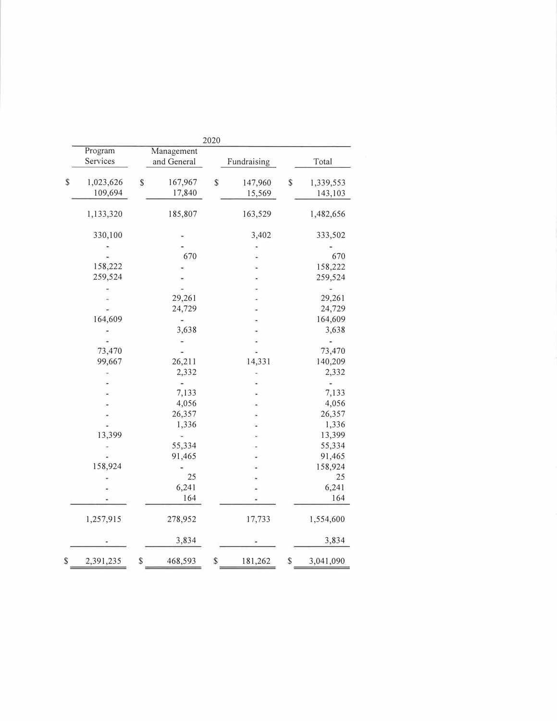|                 |             |                          | 2020 |             |                 |
|-----------------|-------------|--------------------------|------|-------------|-----------------|
| Program         | Management  |                          |      |             |                 |
| Services        | and General |                          |      | Fundraising | Total           |
| \$<br>1,023,626 | \$          | 167,967                  | \$   | 147,960     | \$<br>1,339,553 |
| 109,694         |             | 17,840                   |      | 15,569      | 143,103         |
| 1,133,320       |             | 185,807                  |      | 163,529     | 1,482,656       |
| 330,100         |             |                          |      | 3,402       | 333,502         |
|                 |             |                          |      |             |                 |
|                 |             | 670                      |      |             | 670             |
| 158,222         |             |                          |      |             | 158,222         |
| 259,524         |             |                          |      |             | 259,524         |
|                 |             |                          |      |             |                 |
|                 |             | 29,261                   |      |             | 29,261          |
|                 |             | 24,729                   |      |             | 24,729          |
| 164,609         |             |                          |      |             | 164,609         |
|                 |             | 3,638                    |      |             | 3,638           |
|                 |             |                          |      |             |                 |
| 73,470          |             |                          |      |             | 73,470          |
| 99,667          |             | 26,211                   |      | 14,331      | 140,209         |
|                 |             | 2,332                    |      |             | 2,332           |
|                 |             | $\overline{\phantom{a}}$ |      |             | ä,              |
|                 |             | 7,133                    |      |             | 7,133           |
|                 |             | 4,056                    |      |             | 4,056           |
|                 |             | 26,357                   |      |             | 26,357          |
|                 |             | 1,336                    |      |             | 1,336           |
| 13,399          |             | œ.                       |      |             | 13,399          |
|                 |             | 55,334                   |      |             | 55,334          |
|                 |             | 91,465                   |      |             | 91,465          |
| 158,924         |             |                          |      |             | 158,924         |
|                 |             | 25                       |      |             | 25              |
|                 |             | 6,241                    |      |             | 6,241           |
|                 |             | 164                      |      |             | 164             |
| 1,257,915       |             | 278,952                  |      | 17,733      | 1,554,600       |
|                 |             | 3,834                    |      |             | 3,834           |
| \$<br>2,391,235 | \$          | 468,593                  | \$   | 181,262     | \$<br>3,041,090 |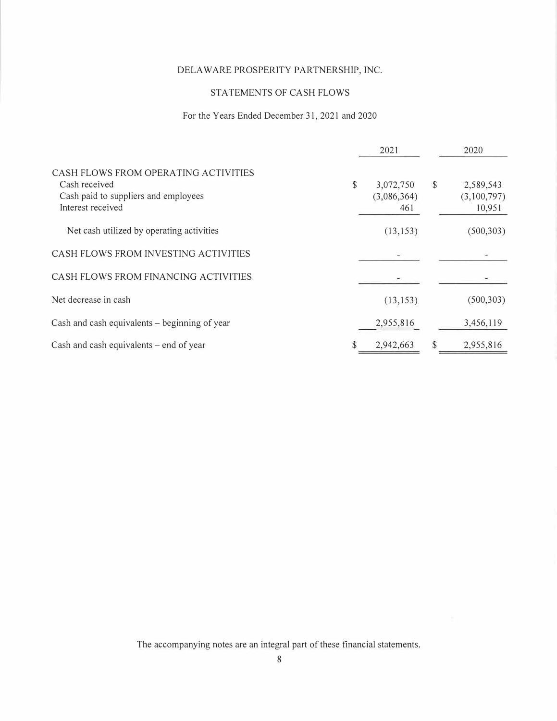### STATEMENTS OF CASH FLOWS

### For the Years Ended December 31, 2021 and 2020

|                                                                                                                    | 2021                                  |              | 2020                               |
|--------------------------------------------------------------------------------------------------------------------|---------------------------------------|--------------|------------------------------------|
| CASH FLOWS FROM OPERATING ACTIVITIES<br>Cash received<br>Cash paid to suppliers and employees<br>Interest received | \$<br>3,072,750<br>(3,086,364)<br>461 | $\mathbb{S}$ | 2,589,543<br>(3,100,797)<br>10,951 |
| Net cash utilized by operating activities                                                                          | (13, 153)                             |              | (500, 303)                         |
| CASH FLOWS FROM INVESTING ACTIVITIES                                                                               |                                       |              |                                    |
| CASH FLOWS FROM FINANCING ACTIVITIES                                                                               |                                       |              |                                    |
| Net decrease in cash                                                                                               | (13, 153)                             |              | (500, 303)                         |
| Cash and cash equivalents – beginning of year                                                                      | 2,955,816                             |              | 3,456,119                          |
| Cash and cash equivalents – end of year                                                                            | 2,942,663                             | \$           | 2,955,816                          |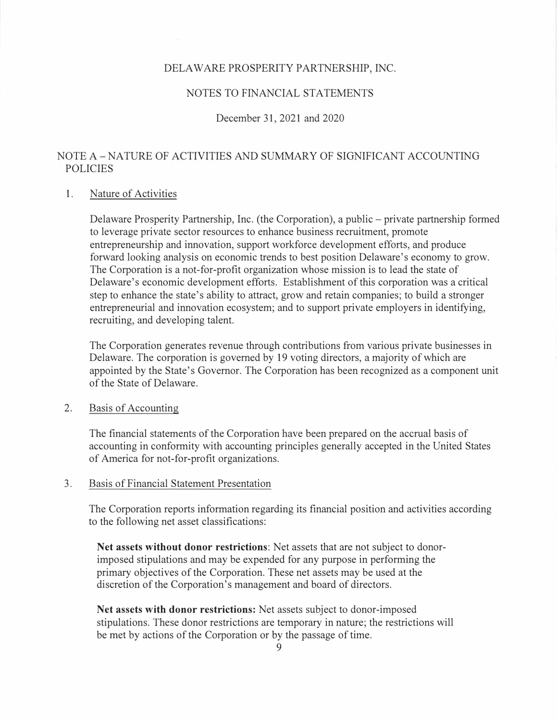#### NOTES TO FINANCIAL STATEMENTS

#### December 31, 2021 and 2020

### NOTE A- NATURE OF ACTIVITIES AND SUMMARY OF SIGNIFICANT ACCOUNTING **POLICIES**

### 1. Nature of Activities

Delaware Prosperity Partnership, Inc. (the Corporation), a public – private partnership formed to leverage private sector resources to enhance business recruitment, promote entrepreneurship and innovation, support workforce development efforts, and produce forward looking analysis on economic trends to best position Delaware's economy to grow. The Corporation is a not-for-profit organization whose mission is to lead the state of Delaware's economic development efforts. Establishment of this corporation was a critical step to enhance the state's ability to attract, grow and retain companies; to build a stronger entrepreneurial and innovation ecosystem; and to support private employers in identifying, recruiting, and developing talent.

The Corporation generates revenue through contributions from various private businesses in Delaware. The corporation is governed by 19 voting directors, a majority of which are appointed by the State's Governor. The Corporation has been recognized as a component unit of the State of Delaware.

### 2. Basis of Accounting

The financial statements of the Corporation have been prepared on the accrual basis of accounting in conformity with accounting principles generally accepted in the United States of America for not-for-profit organizations.

#### 3. Basis of Financial Statement Presentation

The Corporation reports information regarding its financial position and activities according to the following net asset classifications:

**Net assets without donor restrictions:** Net assets that are not subject to donorimposed stipulations and may be expended for any purpose in performing the primary objectives of the Corporation. These net assets may be used at the discretion of the Corporation's management and board of directors.

**Net assets with donor restrictions:** Net assets subject to donor-imposed stipulations. These donor restrictions are temporary in nature; the restrictions will be met by actions of the Corporation or by the passage of time.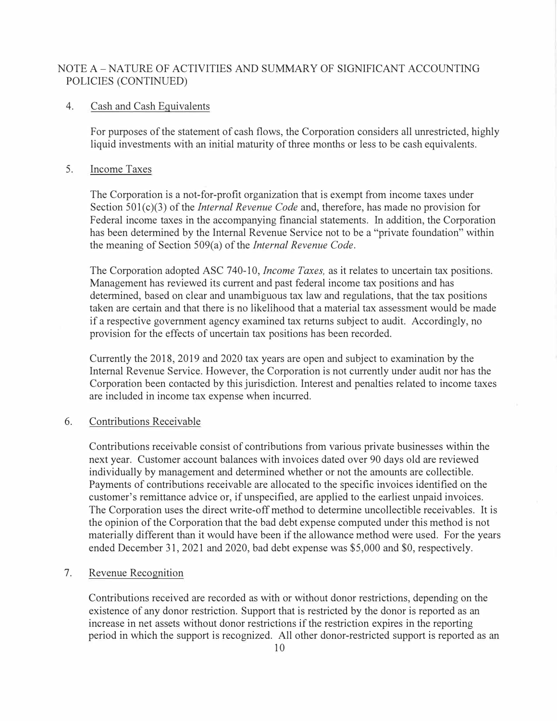### NOTE A- NATURE OF ACTIVITIES AND SUMMARY OF SIGNIFICANT ACCOUNTING POLICIES (CONTINUED)

#### 4. Cash and Cash Equivalents

For purposes of the statement of cash flows, the Corporation considers all unrestricted, highly liquid investments with an initial maturity of three months or less to be cash equivalents.

#### 5. Income Taxes

The Corporation is a not-for-profit organization that is exempt from income taxes under Section 501(c)(3) of the *Internal Revenue Code* and, therefore, has made no provision for Federal income taxes in the accompanying financial statements. In addition, the Corporation has been determined by the Internal Revenue Service not to be a "private foundation" within the meaning of Section 509(a) of the *Internal Revenue Code.*

The Corporation adopted ASC 740-10, *Income Taxes,* as it relates to uncertain tax positions. Management has reviewed its current and past federal income tax positions and has determined, based on clear and unambiguous tax law and regulations, that the tax positions taken are certain and that there is no likelihood that a material tax assessment would be made if a respective government agency examined tax returns subject to audit. Accordingly, no provision for the effects of uncertain tax positions has been recorded.

Currently the 2018, 2019 and 2020 tax years are open and subject to examination by the Internal Revenue Service. However, the Corporation is not currently under audit nor has the Corporation been contacted by this jurisdiction. Interest and penalties related to income taxes are included in income tax expense when incurred.

#### 6. Contributions Receivable

Contributions receivable consist of contributions from various private businesses within the next year. Customer account balances with invoices dated over 90 days old are reviewed individually by management and determined whether or not the amounts are collectible. Payments of contributions receivable are allocated to the specific invoices identified on the customer's remittance advice or, if unspecified, are applied to the earliest unpaid invoices. The Corporation uses the direct write-off method to determine uncollectible receivables. It is the opinion of the Corporation that the bad debt expense computed under this method is not materially different than it would have been if the allowance method were used. For the years ended December 31, 2021 and 2020, bad debt expense was \$5,000 and \$0, respectively.

### 7. Revenue Recognition

Contributions received are recorded as with or without donor restrictions, depending on the existence of any donor restriction. Support that is restricted by the donor is reported as an increase in net assets without donor restrictions if the restriction expires in the reporting period in which the support is recognized. All other donor-restricted support is reported as an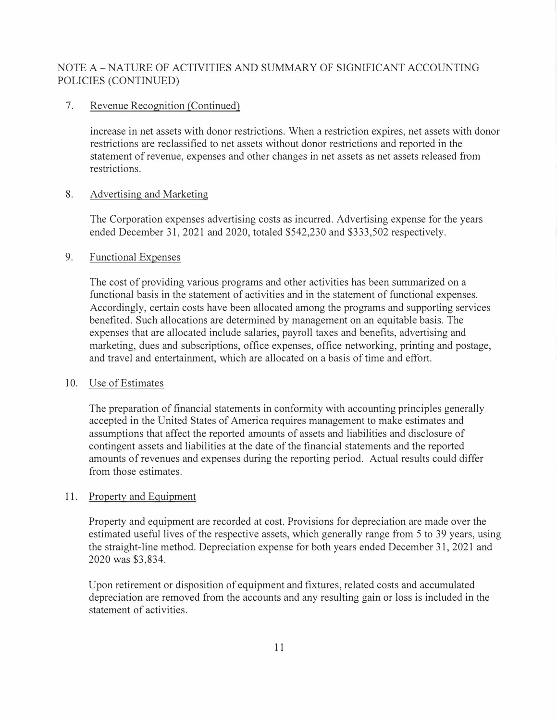### NOTE A-NATURE OF ACTIVITIES AND SUMMARY OF SIGNIFICANT ACCOUNTING POLICIES (CONTINUED)

### 7. Revenue Recognition (Continued)

increase in net assets with donor restrictions. When a restriction expires, net assets with donor restrictions are reclassified to net assets without donor restrictions and reported in the statement of revenue, expenses and other changes in net assets as net assets released from restrictions.

### 8. Advertising and Marketing

The Corporation expenses advertising costs as incurred. Advertising expense for the years ended December 31, 2021 and 2020, totaled \$542,230 and \$333,502 respectively.

### 9. Functional Expenses

The cost of providing various programs and other activities has been summarized on a functional basis in the statement of activities and in the statement of functional expenses. Accordingly, certain costs have been allocated among the programs and supporting services benefited. Such allocations are determined by management on an equitable basis. The expenses that are allocated include salaries, payroll taxes and benefits, advertising and marketing, dues and subscriptions, office expenses, office networking, printing and postage, and travel and entertainment, which are allocated on a basis of time and effort.

#### 10. Use of Estimates

The preparation of financial statements in conformity with accounting principles generally accepted in the United States of America requires management to make estimates and assumptions that affect the reported amounts of assets and liabilities and disclosure of contingent assets and liabilities at the date of the financial statements and the reported amounts of revenues and expenses during the reporting period. Actual results could differ from those estimates.

#### 11. Property and Equipment

Property and equipment are recorded at cost. Provisions for depreciation are made over the estimated useful lives of the respective assets, which generally range from 5 to 39 years, using the straight-line method. Depreciation expense for both years ended December 31, 2021 and 2020 was \$3,834.

Upon retirement or disposition of equipment and fixtures, related costs and accumulated depreciation are removed from the accounts and any resulting gain or loss is included in the statement of activities.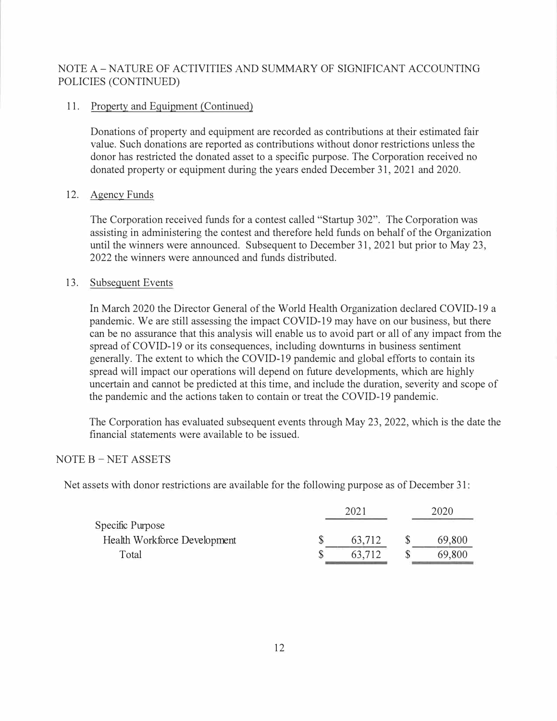### NOTE A- NATURE OF ACTIVITIES AND SUMMARY OF SIGNIFICANT ACCOUNTING POLICIES (CONTINUED)

### 11. Property and Equipment (Continued)

Donations of property and equipment are recorded as contributions at their estimated fair value. Such donations are reported as contributions without donor restrictions unless the donor has restricted the donated asset to a specific purpose. The Corporation received no donated property or equipment during the years ended December 31, 2021 and 2020.

### 12. Agency Funds

The Corporation received funds for a contest called "Startup 302". The Corporation was assisting in administering the contest and therefore held funds on behalf of the Organization until the winners were announced. Subsequent to December 31, 2021 but prior to May 23, 2022 the winners were announced and funds distributed.

### 13. Subsequent Events

In March 2020 the Director General of the World Health Organization declared COVID-19 a pandemic. We are still assessing the impact COVID-19 may have on our business, but there can be no assurance that this analysis will enable us to avoid part or all of any impact from the spread of COVID-19 or its consequences, including downturns in business sentiment generally. The extent to which the COVID-19 pandemic and global efforts to contain its spread will impact our operations will depend on future developments, which are highly uncertain and cannot be predicted at this time, and include the duration, severity and scope of the pandemic and the actions taken to contain or treat the COVID-19 pandemic.

The Corporation has evaluated subsequent events through May 23, 2022, which is the date the financial statements were available to be issued.

### NOTE B - NET ASSETS

Net assets with donor restrictions are available for the following purpose as of December 31:

|                              | 202.   | 2020   |
|------------------------------|--------|--------|
| Specific Purpose             |        |        |
| Health Workforce Development | 63,712 | 69,800 |
| Total                        | 63.712 | 69,800 |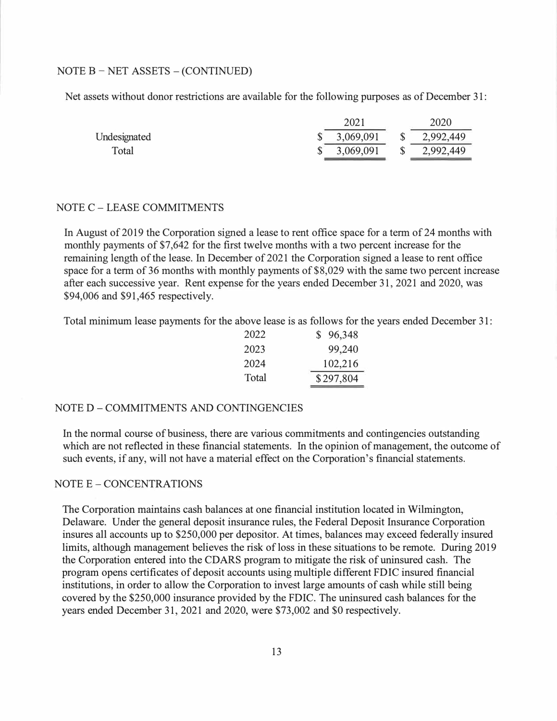#### NOTE B - NET ASSETS - (CONTINUED)

Net assets without donor restrictions are available for the following purposes as of December 31:

|              | 2021      | 2020      |
|--------------|-----------|-----------|
| Undesignated | 3,069,091 | 2,992,449 |
| Total        | 3,069,091 | 2,992,449 |

#### NOTE C - LEASE COMMITMENTS

In August of 2019 the Corporation signed a lease to rent office space for a term of 24 months with monthly payments of \$7,642 for the first twelve months with a two percent increase for the remaining length of the lease. In December of 2021 the Corporation signed a lease to rent office space for a term of 36 months with monthly payments of \$8,029 with the same two percent increase after each successive year. Rent expense for the years ended December 31, 2021 and 2020, was \$94,006 and \$91,465 respectively.

Total minimum lease payments for the above lease is as follows for the years ended December 31:

| 2022  | \$96,348  |
|-------|-----------|
| 2023  | 99,240    |
| 2024  | 102,216   |
| Total | \$297,804 |

### NOTE D - COMMITMENTS AND CONTINGENCIES

In the normal course of business, there are various commitments and contingencies outstanding which are not reflected in these financial statements. In the opinion of management, the outcome of such events, if any, will not have a material effect on the Corporation's financial statements.

#### NOTE E - CONCENTRATIONS

The Corporation maintains cash balances at one financial institution located in Wilmington, Delaware. Under the general deposit insurance rules, the Federal Deposit Insurance Corporation insures all accounts up to \$250,000 per depositor. At times, balances may exceed federally insured limits, although management believes the risk of loss in these situations to be remote. During 2019 the Corporation entered into the CDARS program to mitigate the risk of uninsured cash. The program opens certificates of deposit accounts using multiple different FDIC insured financial institutions, in order to allow the Corporation to invest large amounts of cash while still being covered by the \$250,000 insurance provided by the FDIC. The uninsured cash balances for the years ended December 31, 2021 and 2020, were \$73,002 and \$0 respectively.